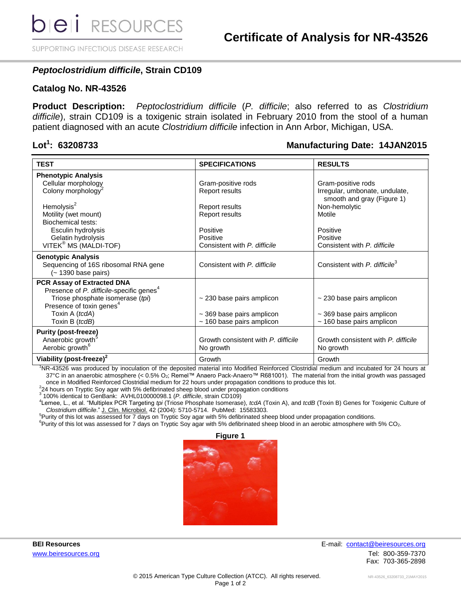SUPPORTING INFECTIOUS DISEASE RESEARCH

## *Peptoclostridium difficile***, Strain CD109**

### **Catalog No. NR-43526**

**Product Description:** *Peptoclostridium difficile* (*P. difficile*; also referred to as *Clostridium difficile*), strain CD109 is a toxigenic strain isolated in February 2010 from the stool of a human patient diagnosed with an acute *Clostridium difficile* infection in Ann Arbor, Michigan, USA.

## Lot<sup>1</sup>: 63208733

### **: 63208733 Manufacturing Date: 14JAN2015**

| <b>TEST</b>                                                                               | <b>SPECIFICATIONS</b>               | <b>RESULTS</b>                                               |
|-------------------------------------------------------------------------------------------|-------------------------------------|--------------------------------------------------------------|
| <b>Phenotypic Analysis</b>                                                                |                                     |                                                              |
| Cellular morphology                                                                       | Gram-positive rods                  | Gram-positive rods                                           |
| Colony morphology <sup>2</sup>                                                            | Report results                      | Irregular, umbonate, undulate,<br>smooth and gray (Figure 1) |
| Hemolysis $2$                                                                             | Report results                      | Non-hemolytic                                                |
| Motility (wet mount)                                                                      | Report results                      | Motile                                                       |
| <b>Biochemical tests:</b>                                                                 |                                     |                                                              |
| Esculin hydrolysis                                                                        | Positive                            | Positive                                                     |
| Gelatin hydrolysis                                                                        | Positive                            | Positive                                                     |
| VITEK <sup>®</sup> MS (MALDI-TOF)                                                         | Consistent with P. difficile        | Consistent with P. difficile                                 |
| <b>Genotypic Analysis</b><br>Sequencing of 16S ribosomal RNA gene<br>(~1390 base pairs)   | Consistent with P. difficile        | Consistent with P. difficile <sup>3</sup>                    |
| <b>PCR Assay of Extracted DNA</b><br>Presence of P. difficile-specific genes <sup>4</sup> |                                     |                                                              |
| Triose phosphate isomerase (tpi)<br>Presence of toxin genes <sup>4</sup>                  | $\sim$ 230 base pairs amplicon      | $\sim$ 230 base pairs amplicon                               |
| Toxin A (tcdA)                                                                            | $\sim$ 369 base pairs amplicon      | $\sim$ 369 base pairs amplicon                               |
| Toxin B (tcdB)                                                                            | $\sim$ 160 base pairs amplicon      | $\sim$ 160 base pairs amplicon                               |
| <b>Purity (post-freeze)</b>                                                               |                                     |                                                              |
| Anaerobic growth <sup>5</sup>                                                             | Growth consistent with P. difficile | Growth consistent with P. difficile                          |
| Aerobic growth <sup>6</sup>                                                               | No growth                           | No growth                                                    |
| Viability (post-freeze) <sup>2</sup>                                                      | Growth                              | Growth                                                       |

<sup>1</sup>NR-43526 was produced by inoculation of the deposited material into Modified Reinforced Clostridial medium and incubated for 24 hours at 37°C in an anaerobic atmosphere (< 0.5% O<sub>2</sub>; Remel™ Anaero Pack-Anaero™ R681001). The material from the initial growth was passaged once in Modified Reinforced Clostridial medium for 22 hours under propagation conditions to produce this lot.

2 24 hours on Tryptic Soy agar with 5% defibrinated sheep blood under propagation conditions 3 100% identical to GenBank: AVHL010000098.1 (*P. difficile*, strain CD109)

4 Lemee, L., et al. "Multiplex PCR Targeting *tpi* (Triose Phosphate Isomerase), *tcdA* (Toxin A), and *tcdB* (Toxin B) Genes for Toxigenic Culture of *Clostridium difficile*." J. Clin. Microbiol. 42 (2004): 5710-5714. PubMed: 15583303.

<sup>5</sup>Purity of this lot was assessed for 7 days on Tryptic Soy agar with 5% defibrinated sheep blood under propagation conditions.

 $6$ Purity of this lot was assessed for 7 days on Tryptic Soy agar with 5% defibrinated sheep blood in an aerobic atmosphere with 5% CO<sub>2</sub>.



**BEI Resources** E-mail: contact@beiresources.org [www.beiresources.org](http://www.beiresources.org/) **William Struck and Tel: 800-359-7370** Fax: 703-365-2898